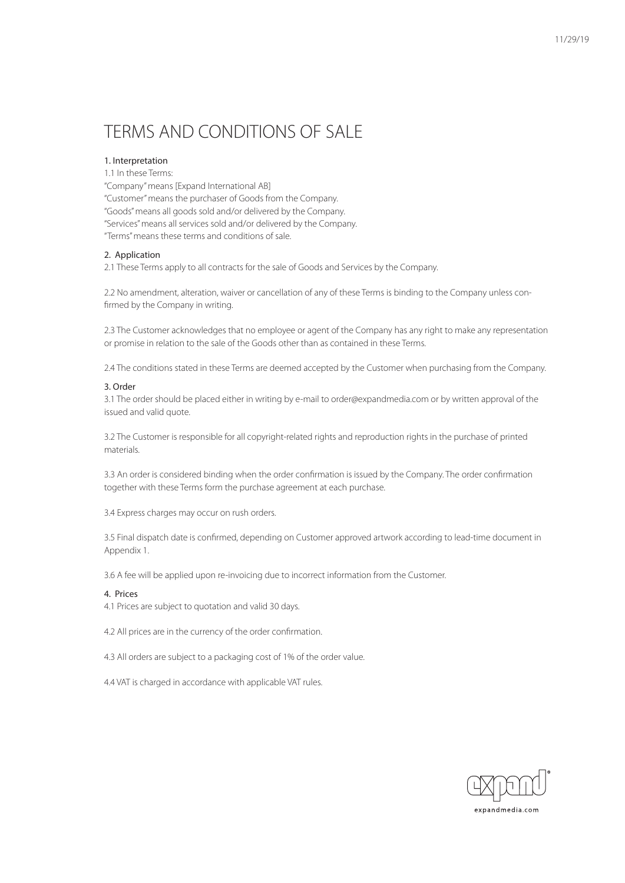# TERMS AND CONDITIONS OF SALE

## 1. Interpretation

1.1 In these Terms: "Company" means [Expand International AB] "Customer" means the purchaser of Goods from the Company. "Goods" means all goods sold and/or delivered by the Company. "Services" means all services sold and/or delivered by the Company. "Terms" means these terms and conditions of sale.

#### 2. Application

2.1 These Terms apply to all contracts for the sale of Goods and Services by the Company.

2.2 No amendment, alteration, waiver or cancellation of any of these Terms is binding to the Company unless confirmed by the Company in writing.

2.3 The Customer acknowledges that no employee or agent of the Company has any right to make any representation or promise in relation to the sale of the Goods other than as contained in these Terms.

2.4 The conditions stated in these Terms are deemed accepted by the Customer when purchasing from the Company.

## 3. Order

3.1 The order should be placed either in writing by e-mail to order@expandmedia.com or by written approval of the issued and valid quote.

3.2 The Customer is responsible for all copyright-related rights and reproduction rights in the purchase of printed materials.

3.3 An order is considered binding when the order confirmation is issued by the Company. The order confirmation together with these Terms form the purchase agreement at each purchase.

3.4 Express charges may occur on rush orders.

3.5 Final dispatch date is confirmed, depending on Customer approved artwork according to lead-time document in Appendix 1.

3.6 A fee will be applied upon re-invoicing due to incorrect information from the Customer.

#### 4. Prices

4.1 Prices are subject to quotation and valid 30 days.

4.2 All prices are in the currency of the order confirmation.

4.3 All orders are subject to a packaging cost of 1% of the order value.

4.4 VAT is charged in accordance with applicable VAT rules.